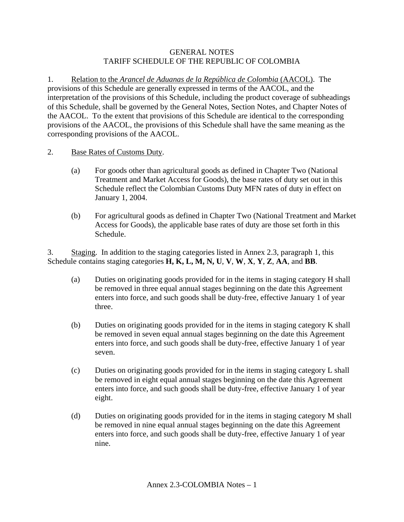## GENERAL NOTES TARIFF SCHEDULE OF THE REPUBLIC OF COLOMBIA

1. Relation to the *Arancel de Aduanas de la República de Colombia* (AACOL). The provisions of this Schedule are generally expressed in terms of the AACOL, and the interpretation of the provisions of this Schedule, including the product coverage of subheadings of this Schedule, shall be governed by the General Notes, Section Notes, and Chapter Notes of the AACOL. To the extent that provisions of this Schedule are identical to the corresponding provisions of the AACOL, the provisions of this Schedule shall have the same meaning as the corresponding provisions of the AACOL.

- 2. Base Rates of Customs Duty.
	- (a) For goods other than agricultural goods as defined in Chapter Two (National Treatment and Market Access for Goods), the base rates of duty set out in this Schedule reflect the Colombian Customs Duty MFN rates of duty in effect on January 1, 2004.
	- (b) For agricultural goods as defined in Chapter Two (National Treatment and Market Access for Goods), the applicable base rates of duty are those set forth in this Schedule.

3. Staging. In addition to the staging categories listed in Annex 2.3, paragraph 1, this Schedule contains staging categories **H, K, L, M, N, U**, **V**, **W**, **X**, **Y**, **Z**, **AA**, and **BB**.

- (a) Duties on originating goods provided for in the items in staging category H shall be removed in three equal annual stages beginning on the date this Agreement enters into force, and such goods shall be duty-free, effective January 1 of year three.
- (b) Duties on originating goods provided for in the items in staging category K shall be removed in seven equal annual stages beginning on the date this Agreement enters into force, and such goods shall be duty-free, effective January 1 of year seven.
- (c) Duties on originating goods provided for in the items in staging category L shall be removed in eight equal annual stages beginning on the date this Agreement enters into force, and such goods shall be duty-free, effective January 1 of year eight.
- (d) Duties on originating goods provided for in the items in staging category M shall be removed in nine equal annual stages beginning on the date this Agreement enters into force, and such goods shall be duty-free, effective January 1 of year nine.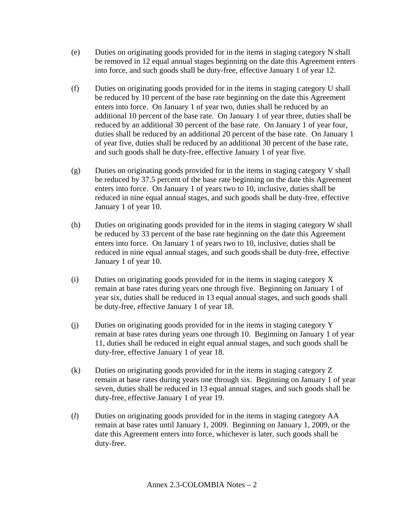- (e) Duties on originating goods provided for in the items in staging category N shall be removed in 12 equal annual stages beginning on the date this Agreement enters into force, and such goods shall be duty-free, effective January 1 of year 12.
- (f) Duties on originating goods provided for in the items in staging category U shall be reduced by 10 percent of the base rate beginning on the date this Agreement enters into force. On January 1 of year two, duties shall be reduced by an additional 10 percent of the base rate. On January 1 of year three, duties shall be reduced by an additional 30 percent of the base rate. On January 1 of year four, duties shall be reduced by an additional 20 percent of the base rate. On January 1 of year five, duties shall be reduced by an additional 30 percent of the base rate, and such goods shall be duty-free, effective January 1 of year five.
- (g) Duties on originating goods provided for in the items in staging category V shall be reduced by 37.5 percent of the base rate beginning on the date this Agreement enters into force. On January 1 of years two to 10, inclusive, duties shall be reduced in nine equal annual stages, and such goods shall be duty-free, effective January 1 of year 10.
- (h) Duties on originating goods provided for in the items in staging category W shall be reduced by 33 percent of the base rate beginning on the date this Agreement enters into force. On January 1 of years two to 10, inclusive, duties shall be reduced in nine equal annual stages, and such goods shall be duty-free, effective January 1 of year 10.
- (i) Duties on originating goods provided for in the items in staging category X remain at base rates during years one through five. Beginning on January 1 of year six, duties shall be reduced in 13 equal annual stages, and such goods shall be duty-free, effective January 1 of year 18.
- (j) Duties on originating goods provided for in the items in staging category Y remain at base rates during years one through 10. Beginning on January 1 of year 11, duties shall be reduced in eight equal annual stages, and such goods shall be duty-free, effective January 1 of year 18.
- (k) Duties on originating goods provided for in the items in staging category Z remain at base rates during years one through six. Beginning on January 1 of year seven, duties shall be reduced in 13 equal annual stages, and such goods shall be duty-free, effective January 1 of year 19.
- (*l*) Duties on originating goods provided for in the items in staging category AA remain at base rates until January 1, 2009. Beginning on January 1, 2009, or the date this Agreement enters into force, whichever is later, such goods shall be duty-free.